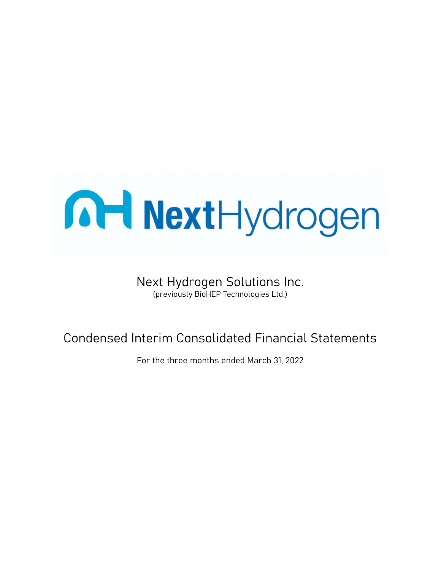# **MaxtHydrogen**

### Next Hydrogen Solutions Inc.

(previously BioHEP Technologies Ltd.)

### Condensed Interim Consolidated Financial Statements

For the three months ended March 31, 2022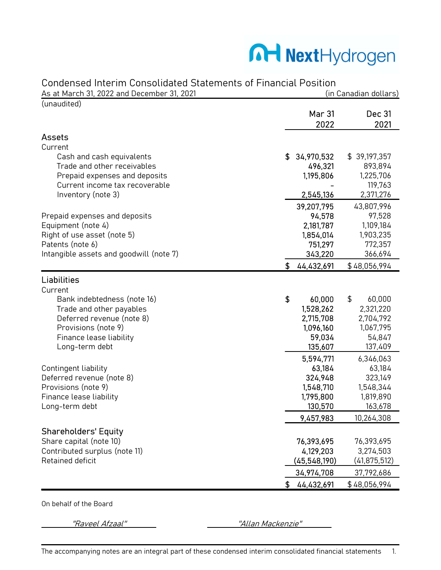### Manydrogen

#### Condensed Interim Consolidated Statements of Financial Position

| As at March 31, 2022 and December 31, 2021        | (in Canadian dollars) |                       |                      |  |
|---------------------------------------------------|-----------------------|-----------------------|----------------------|--|
| (unaudited)                                       |                       | <b>Mar 31</b><br>2022 | Dec 31<br>2021       |  |
| <b>Assets</b>                                     |                       |                       |                      |  |
| Current                                           |                       |                       |                      |  |
| Cash and cash equivalents                         | \$                    | 34,970,532            | \$39,197,357         |  |
| Trade and other receivables                       |                       | 496,321               | 893,894              |  |
| Prepaid expenses and deposits                     |                       | 1,195,806             | 1,225,706            |  |
| Current income tax recoverable                    |                       |                       | 119,763              |  |
| Inventory (note 3)                                |                       | 2,545,136             | 2,371,276            |  |
|                                                   |                       | 39,207,795            | 43,807,996           |  |
| Prepaid expenses and deposits                     |                       | 94,578                | 97,528               |  |
| Equipment (note 4)                                |                       | 2,181,787             | 1,109,184            |  |
| Right of use asset (note 5)                       |                       | 1,854,014             | 1,903,235            |  |
| Patents (note 6)                                  |                       | 751,297               | 772,357              |  |
| Intangible assets and goodwill (note 7)           |                       | 343,220               | 366,694              |  |
|                                                   | \$                    | 44,432,691            | \$48,056,994         |  |
| Liabilities                                       |                       |                       |                      |  |
| Current                                           |                       |                       |                      |  |
| Bank indebtedness (note 16)                       | \$                    | 60,000                | \$<br>60,000         |  |
| Trade and other payables                          |                       | 1,528,262             | 2,321,220            |  |
| Deferred revenue (note 8)                         |                       | 2,715,708             | 2,704,792            |  |
| Provisions (note 9)                               |                       | 1,096,160             | 1,067,795            |  |
| Finance lease liability                           |                       | 59,034                | 54,847               |  |
| Long-term debt                                    |                       | 135,607               | 137,409              |  |
|                                                   |                       | 5,594,771             | 6,346,063            |  |
| Contingent liability                              |                       | 63,184                | 63,184               |  |
| Deferred revenue (note 8)<br>Provisions (note 9)  |                       | 324,948<br>1,548,710  | 323,149<br>1,548,344 |  |
| Finance lease liability                           |                       | 1,795,800             | 1,819,890            |  |
| Long-term debt                                    |                       | 130,570               | 163,678              |  |
|                                                   |                       | 9,457,983             | 10,264,308           |  |
|                                                   |                       |                       |                      |  |
| <b>Shareholders' Equity</b>                       |                       |                       |                      |  |
| Share capital (note 10)                           |                       | 76,393,695            | 76,393,695           |  |
| Contributed surplus (note 11)<br>Retained deficit |                       | 4,129,203             | 3,274,503            |  |
|                                                   |                       | (45,548,190)          | (41, 875, 512)       |  |
|                                                   |                       | 34,974,708            | 37,792,686           |  |
|                                                   | \$                    | 44,432,691            | \$48,056,994         |  |

On behalf of the Board

"Raveel Afzaal" ''' ''Allan Mackenzie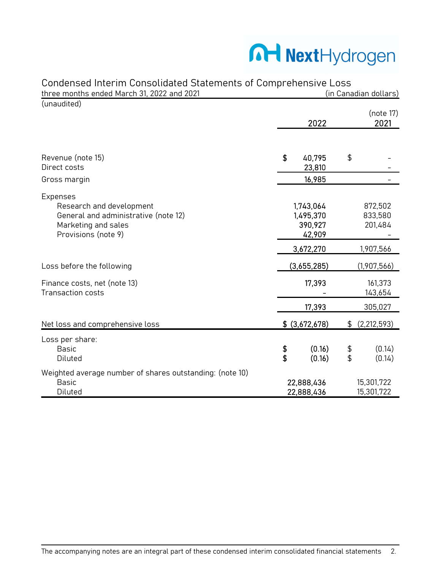# Manufactured Next Hydrogen

| Condensed Interim Consolidated Statements of Comprehensive Loss |                         |                |    |                       |  |
|-----------------------------------------------------------------|-------------------------|----------------|----|-----------------------|--|
| three months ended March 31, 2022 and 2021                      |                         |                |    | (in Canadian dollars) |  |
| (unaudited)                                                     |                         |                |    |                       |  |
|                                                                 |                         |                |    | (note 17)             |  |
|                                                                 |                         | 2022           |    | 2021                  |  |
|                                                                 |                         |                |    |                       |  |
| Revenue (note 15)                                               | \$                      | 40,795         | \$ |                       |  |
| Direct costs                                                    |                         | 23,810         |    |                       |  |
| Gross margin                                                    |                         | 16,985         |    |                       |  |
| Expenses                                                        |                         |                |    |                       |  |
| Research and development                                        |                         | 1,743,064      |    | 872,502               |  |
| General and administrative (note 12)                            |                         | 1,495,370      |    | 833,580               |  |
| Marketing and sales                                             |                         | 390,927        |    | 201,484               |  |
| Provisions (note 9)                                             |                         | 42,909         |    |                       |  |
|                                                                 |                         | 3,672,270      |    | 1,907,566             |  |
| Loss before the following                                       |                         | (3,655,285)    |    | (1,907,566)           |  |
| Finance costs, net (note 13)                                    |                         | 17,393         |    | 161,373               |  |
| <b>Transaction costs</b>                                        |                         |                |    | 143,654               |  |
|                                                                 |                         | 17,393         |    | 305,027               |  |
| Net loss and comprehensive loss                                 |                         | \$ (3,672,678) | \$ | (2, 212, 593)         |  |
| Loss per share:                                                 |                         |                |    |                       |  |
| <b>Basic</b>                                                    | \$                      | (0.16)         | \$ | (0.14)                |  |
| Diluted                                                         | $\overline{\mathbf{3}}$ | (0.16)         | \$ | (0.14)                |  |
| Weighted average number of shares outstanding: (note 10)        |                         |                |    |                       |  |
| <b>Basic</b>                                                    |                         | 22,888,436     |    | 15,301,722            |  |
| Diluted                                                         |                         | 22,888,436     |    | 15,301,722            |  |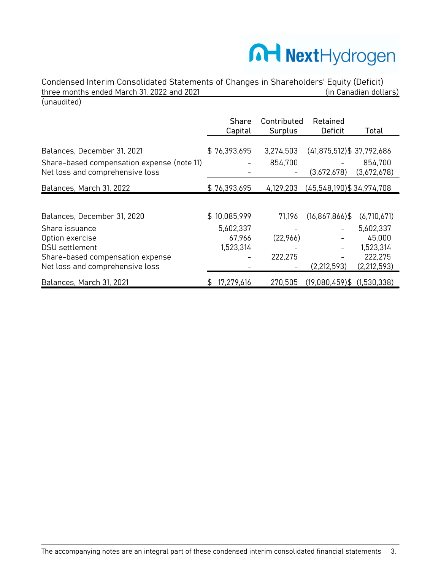# Manydrogen

Condensed Interim Consolidated Statements of Changes in Shareholders' Equity (Deficit) three months ended March 31, 2022 and 2021 (unaudited)

|                                                                               | <b>Share</b><br>Capital | Contributed<br><b>Surplus</b> | Retained<br><b>Deficit</b>      | Total                  |
|-------------------------------------------------------------------------------|-------------------------|-------------------------------|---------------------------------|------------------------|
|                                                                               |                         |                               |                                 |                        |
| Balances, December 31, 2021                                                   | \$76,393,695            | 3,274,503                     | $(41,875,512)$ \$ 37,792,686    |                        |
| Share-based compensation expense (note 11)<br>Net loss and comprehensive loss |                         | 854,700                       | (3,672,678)                     | 854,700<br>(3,672,678) |
|                                                                               |                         |                               |                                 |                        |
| Balances, March 31, 2022                                                      | \$76,393,695            | 4,129,203                     | $(45,548,190)$ \$ 34,974,708    |                        |
|                                                                               |                         |                               |                                 |                        |
| Balances, December 31, 2020                                                   | \$10,085,999            | 71,196                        | $(16, 867, 866)$ \$             | (6,710,671)            |
| Share issuance                                                                | 5,602,337               |                               |                                 | 5,602,337              |
| Option exercise                                                               | 67,966                  | (22,966)                      |                                 | 45,000                 |
| DSU settlement                                                                | 1,523,314               |                               |                                 | 1,523,314              |
| Share-based compensation expense                                              |                         | 222,275                       |                                 | 222,275                |
| Net loss and comprehensive loss                                               |                         |                               | (2, 212, 593)                   | (2, 212, 593)          |
| Balances, March 31, 2021                                                      | 17,279,616              | 270,505                       | $(19,080,459)$ \$ $(1,530,338)$ |                        |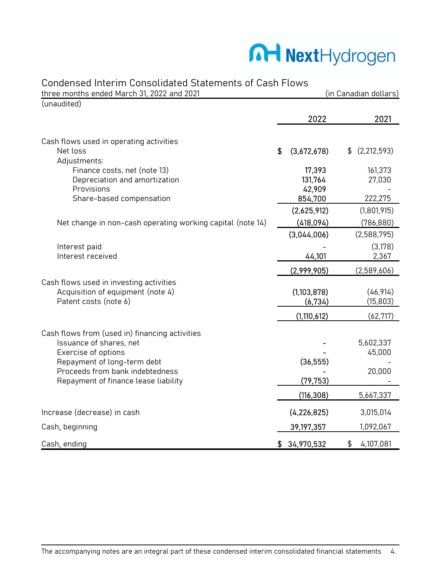### Manydrogen

#### Condensed Interim Consolidated Statements of Cash Flows

| three months ended March 31, 2022 and 2021                              |                   | (in Canadian dollars) |
|-------------------------------------------------------------------------|-------------------|-----------------------|
| (unaudited)                                                             |                   |                       |
|                                                                         | 2022              | 2021                  |
| Cash flows used in operating activities                                 |                   |                       |
| Net loss<br>Adjustments:                                                | \$<br>(3,672,678) | (2, 212, 593)<br>\$   |
| Finance costs, net (note 13)                                            | 17,393            | 161,373               |
| Depreciation and amortization                                           | 131,764           | 27,030                |
| Provisions<br>Share-based compensation                                  | 42,909<br>854,700 | 222,275               |
|                                                                         | (2,625,912)       | (1,801,915)           |
| Net change in non-cash operating working capital (note 14)              | (418,094)         | (786, 880)            |
|                                                                         | (3,044,006)       | (2,588,795)           |
| Interest paid                                                           |                   | (3,178)               |
| Interest received                                                       | 44,101            | 2,367                 |
|                                                                         | (2,999,905)       | (2,589,606)           |
| Cash flows used in investing activities                                 |                   |                       |
| Acquisition of equipment (note 4)                                       | (1,103,878)       | (46, 914)             |
| Patent costs (note 6)                                                   | (6, 734)          | (15, 803)             |
|                                                                         | (1, 110, 612)     | (62, 717)             |
| Cash flows from (used in) financing activities                          |                   |                       |
| Issuance of shares, net                                                 |                   | 5,602,337             |
| Exercise of options                                                     |                   | 45,000                |
| Repayment of long-term debt                                             | (36, 555)         |                       |
| Proceeds from bank indebtedness<br>Repayment of finance lease liability | (79, 753)         | 20,000                |
|                                                                         | (116, 308)        | 5,667,337             |
|                                                                         |                   |                       |
| Increase (decrease) in cash                                             | (4, 226, 825)     | 3,015,014             |
| Cash, beginning                                                         | 39,197,357        | 1,092,067             |
| Cash, ending                                                            | \$<br>34,970,532  | \$<br>4,107,081       |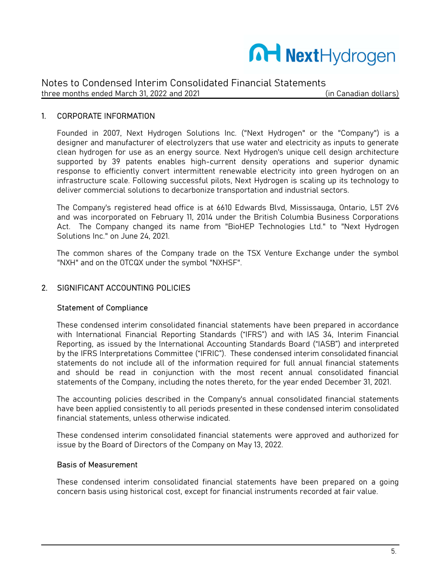

#### 1. CORPORATE INFORMATION

Founded in 2007, Next Hydrogen Solutions Inc. ("Next Hydrogen" or the "Company") is a designer and manufacturer of electrolyzers that use water and electricity as inputs to generate clean hydrogen for use as an energy source. Next Hydrogen's unique cell design architecture supported by 39 patents enables high-current density operations and superior dynamic response to efficiently convert intermittent renewable electricity into green hydrogen on an infrastructure scale. Following successful pilots, Next Hydrogen is scaling up its technology to deliver commercial solutions to decarbonize transportation and industrial sectors.

The Company's registered head office is at 6610 Edwards Blvd, Mississauga, Ontario, L5T 2V6 and was incorporated on February 11, 2014 under the British Columbia Business Corporations Act. The Company changed its name from "BioHEP Technologies Ltd." to "Next Hydrogen Solutions Inc." on June 24, 2021.

The common shares of the Company trade on the TSX Venture Exchange under the symbol "NXH" and on the OTCQX under the symbol "NXHSF".

#### 2. SIGNIFICANT ACCOUNTING POLICIES

#### Statement of Compliance

These condensed interim consolidated financial statements have been prepared in accordance with International Financial Reporting Standards ("IFRS") and with IAS 34, Interim Financial Reporting, as issued by the International Accounting Standards Board ("IASB") and interpreted by the IFRS Interpretations Committee ("IFRIC"). These condensed interim consolidated financial statements do not include all of the information required for full annual financial statements and should be read in conjunction with the most recent annual consolidated financial statements of the Company, including the notes thereto, for the year ended December 31, 2021.

The accounting policies described in the Company's annual consolidated financial statements have been applied consistently to all periods presented in these condensed interim consolidated financial statements, unless otherwise indicated.

These condensed interim consolidated financial statements were approved and authorized for issue by the Board of Directors of the Company on May 13, 2022.

#### Basis of Measurement

These condensed interim consolidated financial statements have been prepared on a going concern basis using historical cost, except for financial instruments recorded at fair value.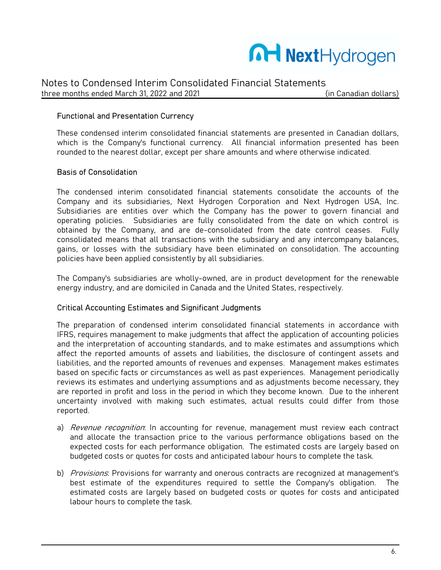

#### Functional and Presentation Currency

These condensed interim consolidated financial statements are presented in Canadian dollars, which is the Company's functional currency. All financial information presented has been rounded to the nearest dollar, except per share amounts and where otherwise indicated.

#### Basis of Consolidation

The condensed interim consolidated financial statements consolidate the accounts of the Company and its subsidiaries, Next Hydrogen Corporation and Next Hydrogen USA, Inc. Subsidiaries are entities over which the Company has the power to govern financial and operating policies. Subsidiaries are fully consolidated from the date on which control is obtained by the Company, and are de-consolidated from the date control ceases. Fully consolidated means that all transactions with the subsidiary and any intercompany balances, gains, or losses with the subsidiary have been eliminated on consolidation. The accounting policies have been applied consistently by all subsidiaries.

The Company's subsidiaries are wholly-owned, are in product development for the renewable energy industry, and are domiciled in Canada and the United States, respectively.

#### Critical Accounting Estimates and Significant Judgments

The preparation of condensed interim consolidated financial statements in accordance with IFRS, requires management to make judgments that affect the application of accounting policies and the interpretation of accounting standards, and to make estimates and assumptions which affect the reported amounts of assets and liabilities, the disclosure of contingent assets and liabilities, and the reported amounts of revenues and expenses. Management makes estimates based on specific facts or circumstances as well as past experiences. Management periodically reviews its estimates and underlying assumptions and as adjustments become necessary, they are reported in profit and loss in the period in which they become known. Due to the inherent uncertainty involved with making such estimates, actual results could differ from those reported.

- a) *Revenue recognition*: In accounting for revenue, management must review each contract and allocate the transaction price to the various performance obligations based on the expected costs for each performance obligation. The estimated costs are largely based on budgeted costs or quotes for costs and anticipated labour hours to complete the task.
- b) *Provisions*: Provisions for warranty and onerous contracts are recognized at management's best estimate of the expenditures required to settle the Company's obligation. The estimated costs are largely based on budgeted costs or quotes for costs and anticipated labour hours to complete the task.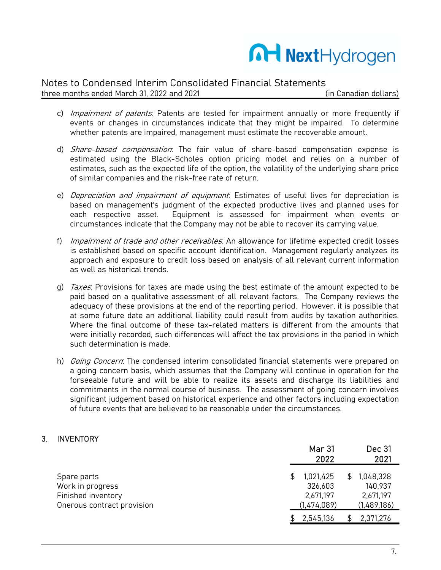

#### Notes to Condensed Interim Consolidated Financial Statements

three months ended March 31, 2022 and 2021 (in Canadian dollars)

- c) *Impairment of patents*: Patents are tested for impairment annually or more frequently if events or changes in circumstances indicate that they might be impaired. To determine whether patents are impaired, management must estimate the recoverable amount.
- d) *Share-based compensation*: The fair value of share-based compensation expense is estimated using the Black-Scholes option pricing model and relies on a number of estimates, such as the expected life of the option, the volatility of the underlying share price of similar companies and the risk-free rate of return.
- e) *Depreciation and impairment of equipment*: Estimates of useful lives for depreciation is based on management's judgment of the expected productive lives and planned uses for each respective asset. Equipment is assessed for impairment when events or circumstances indicate that the Company may not be able to recover its carrying value.
- f) Impairment of trade and other receivables: An allowance for lifetime expected credit losses is established based on specific account identification. Management regularly analyzes its approach and exposure to credit loss based on analysis of all relevant current information as well as historical trends.
- g) *Taxes*: Provisions for taxes are made using the best estimate of the amount expected to be paid based on a qualitative assessment of all relevant factors. The Company reviews the adequacy of these provisions at the end of the reporting period. However, it is possible that at some future date an additional liability could result from audits by taxation authorities. Where the final outcome of these tax-related matters is different from the amounts that were initially recorded, such differences will affect the tax provisions in the period in which such determination is made.
- h) *Going Concern*: The condensed interim consolidated financial statements were prepared on a going concern basis, which assumes that the Company will continue in operation for the forseeable future and will be able to realize its assets and discharge its liabilities and commitments in the normal course of business. The assessment of going concern involves significant judgement based on historical experience and other factors including expectation of future events that are believed to be reasonable under the circumstances.

#### 3. INVENTORY

|                            | <b>Mar 31</b><br>2022 | Dec 31<br>2021   |
|----------------------------|-----------------------|------------------|
| Spare parts                | 1,021,425             | 1,048,328<br>\$. |
| Work in progress           | 326,603               | 140,937          |
| Finished inventory         | 2,671,197             | 2,671,197        |
| Onerous contract provision | (1,474,089)           | (1,489,186)      |
|                            | 2,545,136             | 2,371,276        |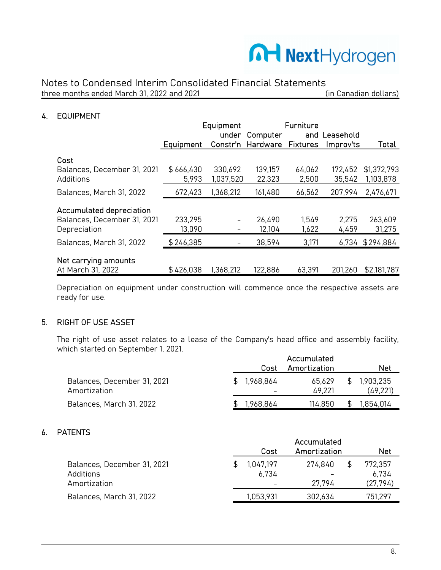

#### 4. EQUIPMENT

|                                 |           | Equipment |                   | <b>Furniture</b> |               |             |
|---------------------------------|-----------|-----------|-------------------|------------------|---------------|-------------|
|                                 |           |           | under Computer    |                  | and Leasehold |             |
|                                 | Equipment |           | Constr'n Hardware | <b>Fixtures</b>  | Improv'ts     | Total       |
| Cost                            |           |           |                   |                  |               |             |
| Balances, December 31, 2021     | \$666,430 | 330,692   | 139,157           | 64,062           | 172,452       | \$1,372,793 |
| Additions                       | 5,993     | 1,037,520 | 22,323            | 2,500            | 35,542        | 1,103,878   |
| Balances, March 31, 2022        | 672,423   | 1,368,212 | 161,480           | 66,562           | 207,994       | 2,476,671   |
| <b>Accumulated depreciation</b> |           |           |                   |                  |               |             |
| Balances, December 31, 2021     | 233,295   |           | 26,490            | 1.549            | 2,275         | 263,609     |
| Depreciation                    | 13,090    |           | 12,104            | 1,622            | 4,459         | 31,275      |
| Balances, March 31, 2022        | \$246,385 |           | 38,594            | 3,171            | 6.734         | \$294,884   |
| Net carrying amounts            |           |           |                   |                  |               |             |
| At March 31, 2022               | \$426,038 | 1,368,212 | 122,886           | 63,391           | 201,260       | \$2,181,787 |

Depreciation on equipment under construction will commence once the respective assets are ready for use.

#### 5. RIGHT OF USE ASSET

The right of use asset relates to a lease of the Company's head office and assembly facility, which started on September 1, 2021.

|                                             | Cost      | Accumulated<br>Amortization |    | <b>Net</b>             |
|---------------------------------------------|-----------|-----------------------------|----|------------------------|
| Balances, December 31, 2021<br>Amortization | 1.968.864 | 65.629<br>49.221            | P. | 1,903,235<br>(49, 221) |
| Balances, March 31, 2022                    | 1.968.864 | 114,850                     |    | ,854,014               |

#### 6. PATENTS

| ៶៲឵៲៶៲៰                                                  | Cost               | Accumulated<br>Amortization | Net                          |
|----------------------------------------------------------|--------------------|-----------------------------|------------------------------|
| Balances, December 31, 2021<br>Additions<br>Amortization | 1,047,197<br>6.734 | 274,840<br>27.794           | 772,357<br>6.734<br>(27,794) |
| Balances, March 31, 2022                                 | 1,053,931          | 302,634                     | 751,297                      |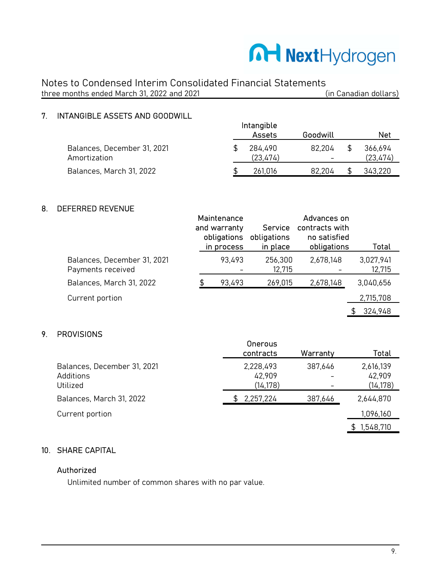

#### 7. INTANGIBLE ASSETS AND GOODWILL

|                                             | <br>Assets          | Goodwill                           | Net                 |
|---------------------------------------------|---------------------|------------------------------------|---------------------|
| Balances, December 31, 2021<br>Amortization | 284.490<br>(23.474) | 82.204<br>$\overline{\phantom{0}}$ | 366,694<br>(23,474) |
| Balances, March 31, 2022                    | 261.016             | 82.204                             | 343,220             |

Intangible

#### 8. DEFERRED REVENUE

|                                                  | Maintenance<br>and warranty<br>obligations<br>in process | <b>Service</b><br>obligations<br>in place | Advances on<br>contracts with<br>no satisfied<br>obligations | Total               |
|--------------------------------------------------|----------------------------------------------------------|-------------------------------------------|--------------------------------------------------------------|---------------------|
| Balances, December 31, 2021<br>Payments received | 93,493                                                   | 256,300<br>12,715                         | 2,678,148                                                    | 3,027,941<br>12,715 |
| Balances, March 31, 2022                         | 93,493                                                   | 269,015                                   | 2,678,148                                                    | 3,040,656           |
| Current portion                                  |                                                          |                                           |                                                              | 2,715,708           |
|                                                  |                                                          |                                           |                                                              | 324,948<br>\$       |

#### 9. PROVISIONS

|                                                      | <b>Onerous</b><br>contracts      | Warranty | Total                            |
|------------------------------------------------------|----------------------------------|----------|----------------------------------|
| Balances, December 31, 2021<br>Additions<br>Utilized | 2,228,493<br>42,909<br>(14, 178) | 387,646  | 2,616,139<br>42,909<br>(14, 178) |
| Balances, March 31, 2022                             | 2,257,224                        | 387,646  | 2,644,870                        |
| Current portion                                      |                                  |          | 1,096,160                        |
|                                                      |                                  |          | 1,548,710<br>\$.                 |

#### 10. SHARE CAPITAL

#### Authorized

Unlimited number of common shares with no par value.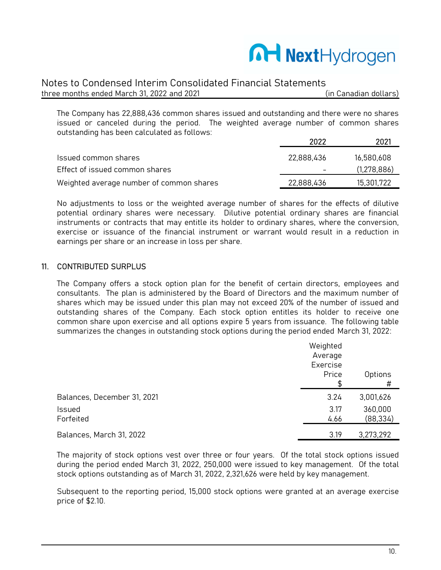

#### Notes to Condensed Interim Consolidated Financial Statements

three months ended March 31, 2022 and 2021 (in Canadian dollars)

The Company has 22,888,436 common shares issued and outstanding and there were no shares issued or canceled during the period. The weighted average number of common shares outstanding has been calculated as follows:

|                                          | 2022       | 2021        |
|------------------------------------------|------------|-------------|
| Issued common shares                     | 22,888,436 | 16,580,608  |
| Effect of issued common shares           |            | (1,278,886) |
| Weighted average number of common shares | 22,888,436 | 15,301,722  |

No adjustments to loss or the weighted average number of shares for the effects of dilutive potential ordinary shares were necessary. Dilutive potential ordinary shares are financial instruments or contracts that may entitle its holder to ordinary shares, where the conversion, exercise or issuance of the financial instrument or warrant would result in a reduction in earnings per share or an increase in loss per share.

#### 11. CONTRIBUTED SURPLUS

The Company offers a stock option plan for the benefit of certain directors, employees and consultants. The plan is administered by the Board of Directors and the maximum number of shares which may be issued under this plan may not exceed 20% of the number of issued and outstanding shares of the Company. Each stock option entitles its holder to receive one common share upon exercise and all options expire 5 years from issuance. The following table summarizes the changes in outstanding stock options during the period ended March 31, 2022:

|                             | Weighted<br>Average<br>Exercise<br>Price | Options<br>#         |
|-----------------------------|------------------------------------------|----------------------|
| Balances, December 31, 2021 | 3.24                                     | 3,001,626            |
| Issued<br>Forfeited         | 3.17<br>4.66                             | 360,000<br>(88, 334) |
| Balances, March 31, 2022    | 3.19                                     | 3,273,292            |

The majority of stock options vest over three or four years. Of the total stock options issued during the period ended March 31, 2022, 250,000 were issued to key management. Of the total stock options outstanding as of March 31, 2022, 2,321,626 were held by key management.

Subsequent to the reporting period, 15,000 stock options were granted at an average exercise price of \$2.10.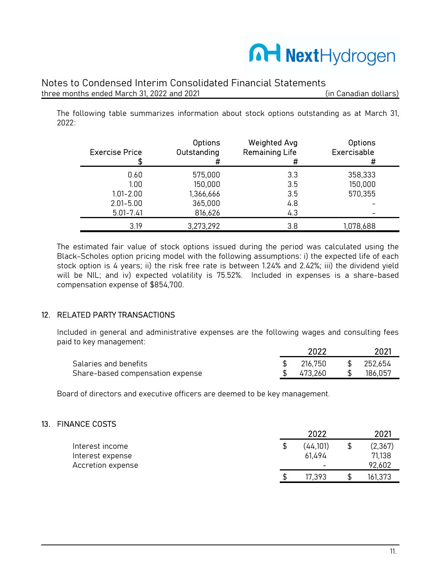

#### Notes to Condensed Interim Consolidated Financial Statements

three months ended March 31, 2022 and 2021 (in Canadian dollars)

The following table summarizes information about stock options outstanding as at March 31, 2022:

| <b>Exercise Price</b> | <b>Options</b><br>Outstanding | <b>Weighted Avg</b><br><b>Remaining Life</b><br># | <b>Options</b><br>Exercisable<br># |
|-----------------------|-------------------------------|---------------------------------------------------|------------------------------------|
| 0.60                  | 575,000                       | 3.3                                               | 358,333                            |
| 1.00                  | 150,000                       | 3.5                                               | 150,000                            |
| $1.01 - 2.00$         | 1,366,666                     | 3.5                                               | 570,355                            |
| $2.01 - 5.00$         | 365,000                       | 4.8                                               |                                    |
| $5.01 - 7.41$         | 816,626                       | 4.3                                               |                                    |
| 3.19                  | 3,273,292                     | 3.8                                               | 1,078,688                          |

The estimated fair value of stock options issued during the period was calculated using the Black-Scholes option pricing model with the following assumptions: i) the expected life of each stock option is 4 years; ii) the risk free rate is between 1.24% and 2.42%; iii) the dividend yield will be NIL; and iv) expected volatility is 75.52%. Included in expenses is a share-based compensation expense of \$854,700.

#### 12. RELATED PARTY TRANSACTIONS

Included in general and administrative expenses are the following wages and consulting fees paid to key management:

|                                  | 2022    |              | 2021    |
|----------------------------------|---------|--------------|---------|
| Salaries and benefits            | 216,750 | <sup>S</sup> | 252,654 |
| Share-based compensation expense | 473.260 |              | 186.057 |

Board of directors and executive officers are deemed to be key management.

#### 13. FINANCE COSTS

|                   |   | 2022     | 2021    |
|-------------------|---|----------|---------|
| Interest income   |   | (44,101) | (2,367) |
| Interest expense  |   | 61.494   | 71,138  |
| Accretion expense |   | -        | 92,602  |
|                   | S | 17.393   | 161,373 |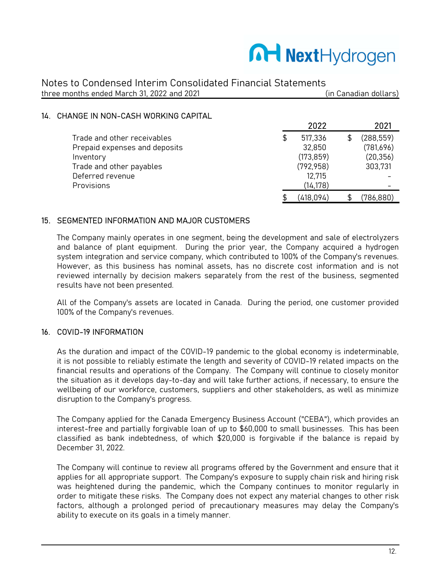### MartHydrogen

Notes to Condensed Interim Consolidated Financial Statements three months ended March 31, 2022 and 2021 (in Canadian dollars)

#### 14. CHANGE IN NON-CASH WORKING CAPITAL

|                               | 2022          | 2021       |
|-------------------------------|---------------|------------|
| Trade and other receivables   | \$<br>517,336 | (288, 559) |
| Prepaid expenses and deposits | 32,850        | (781,696)  |
| Inventory                     | (173, 859)    | (20, 356)  |
| Trade and other payables      | (792, 958)    | 303,731    |
| Deferred revenue              | 12,715        |            |
| Provisions                    | (14, 178)     |            |
|                               | (418,094)     | (786,880)  |

#### 15. SEGMENTED INFORMATION AND MAJOR CUSTOMERS

The Company mainly operates in one segment, being the development and sale of electrolyzers and balance of plant equipment. During the prior year, the Company acquired a hydrogen system integration and service company, which contributed to 100% of the Company's revenues. However, as this business has nominal assets, has no discrete cost information and is not reviewed internally by decision makers separately from the rest of the business, segmented results have not been presented.

All of the Company's assets are located in Canada. During the period, one customer provided 100% of the Company's revenues.

#### 16. COVID-19 INFORMATION

As the duration and impact of the COVID-19 pandemic to the global economy is indeterminable, it is not possible to reliably estimate the length and severity of COVID-19 related impacts on the financial results and operations of the Company. The Company will continue to closely monitor the situation as it develops day-to-day and will take further actions, if necessary, to ensure the wellbeing of our workforce, customers, suppliers and other stakeholders, as well as minimize disruption to the Company's progress.

The Company applied for the Canada Emergency Business Account ("CEBA"), which provides an interest-free and partially forgivable loan of up to \$60,000 to small businesses. This has been classified as bank indebtedness, of which \$20,000 is forgivable if the balance is repaid by December 31, 2022.

The Company will continue to review all programs offered by the Government and ensure that it applies for all appropriate support. The Company's exposure to supply chain risk and hiring risk was heightened during the pandemic, which the Company continues to monitor regularly in order to mitigate these risks. The Company does not expect any material changes to other risk factors, although a prolonged period of precautionary measures may delay the Company's ability to execute on its goals in a timely manner.